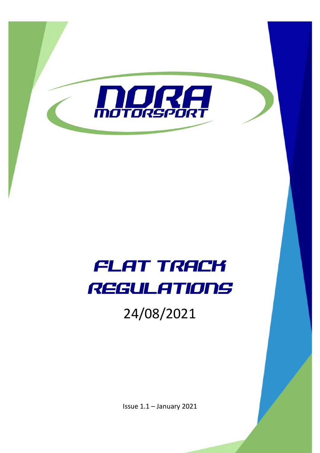

# FLAT TRACK REGULATIONS

24/08/2021

Issue 1.1 – January 2021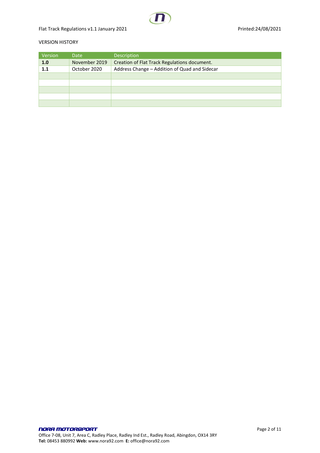Flat Track Regulations v1.1 January 2021 and the state of the Printed:24/08/2021

#### VERSION HISTORY

| Version | Date          | <b>Description</b>                            |
|---------|---------------|-----------------------------------------------|
| 1.0     | November 2019 | Creation of Flat Track Regulations document.  |
| 1.1     | October 2020  | Address Change - Addition of Quad and Sidecar |
|         |               |                                               |
|         |               |                                               |
|         |               |                                               |
|         |               |                                               |
|         |               |                                               |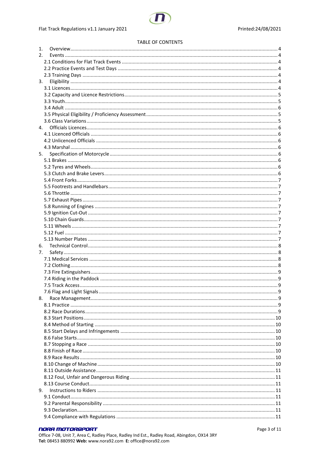#### **TABLE OF CONTENTS**

| 1. |                   |   |
|----|-------------------|---|
| 2. |                   |   |
|    |                   |   |
|    |                   |   |
|    |                   |   |
| 3. |                   |   |
|    |                   |   |
|    |                   |   |
|    |                   |   |
|    |                   |   |
|    |                   |   |
|    |                   |   |
|    |                   |   |
|    |                   |   |
|    |                   |   |
|    |                   |   |
| 5. |                   |   |
|    |                   |   |
|    |                   |   |
|    |                   |   |
|    |                   |   |
|    |                   |   |
|    |                   |   |
|    |                   |   |
|    |                   |   |
|    |                   |   |
|    |                   |   |
|    |                   |   |
|    |                   |   |
|    |                   |   |
|    |                   |   |
| 6. |                   |   |
| 7. |                   |   |
|    |                   |   |
|    |                   |   |
|    |                   |   |
|    |                   |   |
|    | 7.5 Track Access. | q |
|    |                   |   |
| 8. |                   |   |
|    |                   |   |
|    |                   |   |
|    |                   |   |
|    |                   |   |
|    |                   |   |
|    |                   |   |
|    |                   |   |
|    |                   |   |
|    |                   |   |
|    |                   |   |
|    |                   |   |
|    |                   |   |
|    |                   |   |
| 9. |                   |   |
|    |                   |   |
|    |                   |   |
|    |                   |   |
|    |                   |   |
|    |                   |   |

### **NORA MOTORSPORT**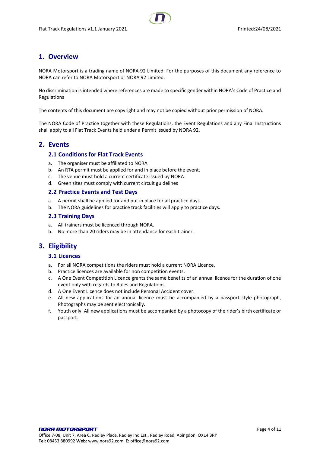# <span id="page-3-0"></span>**1. Overview**

NORA Motorsport is a trading name of NORA 92 Limited. For the purposes of this document any reference to NORA can refer to NORA Motorsport or NORA 92 Limited.

No discrimination is intended where references are made to specific gender within NORA's Code of Practice and Regulations

The contents of this document are copyright and may not be copied without prior permission of NORA.

The NORA Code of Practice together with these Regulations, the Event Regulations and any Final Instructions shall apply to all Flat Track Events held under a Permit issued by NORA 92.

### <span id="page-3-2"></span><span id="page-3-1"></span>**2. Events**

#### **2.1 Conditions for Flat Track Events**

- a. The organiser must be affiliated to NORA
- b. An RTA permit must be applied for and in place before the event.
- c. The venue must hold a current certificate issued by NORA
- d. Green sites must comply with current circuit guidelines

#### <span id="page-3-3"></span>**2.2 Practice Events and Test Days**

- a. A permit shall be applied for and put in place for all practice days.
- b. The NORA guidelines for practice track facilities will apply to practice days.

#### <span id="page-3-4"></span>**2.3 Training Days**

- a. All trainers must be licenced through NORA.
- b. No more than 20 riders may be in attendance for each trainer.

# <span id="page-3-6"></span><span id="page-3-5"></span>**3. Eligibility**

#### **3.1 Licences**

- a. For all NORA competitions the riders must hold a current NORA Licence.
- b. Practice licences are available for non competition events.
- c. A One Event Competition Licence grants the same benefits of an annual licence for the duration of one event only with regards to Rules and Regulations.
- d. A One Event Licence does not include Personal Accident cover.
- e. All new applications for an annual licence must be accompanied by a passport style photograph, Photographs may be sent electronically.
- f. Youth only: All new applications must be accompanied by a photocopy of the rider's birth certificate or passport.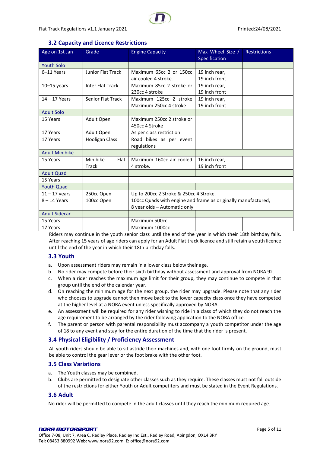# **3.2 Capacity and Licence Restrictions**

<span id="page-4-0"></span>

| Age on 1st Jan        | Grade                            | <b>Engine Capacity</b>                                                                        | Max Wheel Size /<br>Specification | <b>Restrictions</b> |
|-----------------------|----------------------------------|-----------------------------------------------------------------------------------------------|-----------------------------------|---------------------|
| <b>Youth Solo</b>     |                                  |                                                                                               |                                   |                     |
| 6-11 Years            | <b>Junior Flat Track</b>         | Maximum 65cc 2 or 150cc<br>air cooled 4 stroke.                                               | 19 inch rear,<br>19 inch front    |                     |
| $10-15$ years         | <b>Inter Flat Track</b>          | Maximum 85cc 2 stroke or<br>230cc 4 stroke                                                    | 19 inch rear,<br>19 inch front    |                     |
| $14 - 17$ Years       | <b>Senior Flat Track</b>         | Maximum 125cc 2 stroke<br>Maximum 250cc 4 stroke                                              | 19 inch rear,<br>19 inch front    |                     |
| <b>Adult Solo</b>     |                                  |                                                                                               |                                   |                     |
| 15 Years              | Adult Open                       | Maximum 250cc 2 stroke or<br>450cc 4 Stroke                                                   |                                   |                     |
| 17 Years              | Adult Open                       | As per class restriction                                                                      |                                   |                     |
| 17 Years              | <b>Hooligan Class</b>            | Road bikes as per event<br>regulations                                                        |                                   |                     |
| <b>Adult Minibike</b> |                                  |                                                                                               |                                   |                     |
| 15 Years              | Minibike<br>Flat<br><b>Track</b> | Maximum 160cc air cooled<br>4 stroke.                                                         | 16 inch rear,<br>19 inch front    |                     |
| <b>Adult Quad</b>     |                                  |                                                                                               |                                   |                     |
| 15 Years              |                                  |                                                                                               |                                   |                     |
| <b>Youth Quad</b>     |                                  |                                                                                               |                                   |                     |
| $11 - 17$ years       | 250cc Open                       | Up to 200cc 2 Stroke & 250cc 4 Stroke.                                                        |                                   |                     |
| $8 - 14$ Years        | 100cc Open                       | 100cc Quads with engine and frame as originally manufactured,<br>8 year olds - Automatic only |                                   |                     |
| <b>Adult Sidecar</b>  |                                  |                                                                                               |                                   |                     |
| 15 Years              |                                  | Maximum 500cc                                                                                 |                                   |                     |
| 17 Years              |                                  | Maximum 1000cc                                                                                |                                   |                     |

Riders may continue in the youth senior class until the end of the year in which their 18th birthday falls. After reaching 15 years of age riders can apply for an Adult Flat track licence and still retain a youth licence until the end of the year in which their 18th birthday falls.

# <span id="page-4-1"></span>**3.3 Youth**

- a. Upon assessment riders may remain in a lower class below their age.
- b. No rider may compete before their sixth birthday without assessment and approval from NORA 92.
- c. When a rider reaches the maximum age limit for their group, they may continue to compete in that group until the end of the calendar year.
- d. On reaching the minimum age for the next group, the rider may upgrade. Please note that any rider who chooses to upgrade cannot then move back to the lower capacity class once they have competed at the higher level at a NORA event unless specifically approved by NORA.
- e. An assessment will be required for any rider wishing to ride in a class of which they do not reach the age requirement to be arranged by the rider following application to the NORA office.
- f. The parent or person with parental responsibility must accompany a youth competitor under the age of 18 to any event and stay for the entire duration of the time that the rider is present.

# <span id="page-4-2"></span>**3.4 Physical Eligibility / Proficiency Assessment**

All youth riders should be able to sit astride their machines and, with one foot firmly on the ground, must be able to control the gear lever or the foot brake with the other foot.

#### <span id="page-4-3"></span>**3.5 Class Variations**

- a. The Youth classes may be combined.
- b. Clubs are permitted to designate other classes such as they require. These classes must not fall outside of the restrictions for either Youth or Adult competitors and must be stated in the Event Regulations.

# **3.6 Adult**

No rider will be permitted to compete in the adult classes until they reach the minimum required age.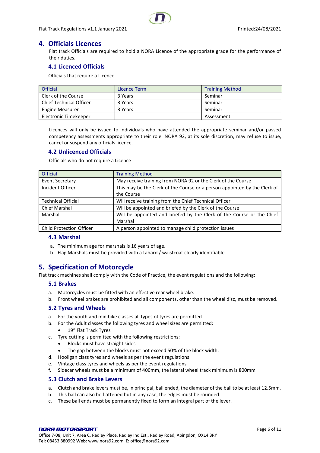# <span id="page-5-1"></span>**4. Officials Licences**

<span id="page-5-0"></span>Flat track Officials are required to hold a NORA Licence of the appropriate grade for the performance of their duties.

#### <span id="page-5-2"></span>**4.1 Licenced Officials**

Officials that require a Licence.

| <b>Official</b>                | Licence Term | <b>Training Method</b> |
|--------------------------------|--------------|------------------------|
| Clerk of the Course            | 3 Years      | Seminar                |
| <b>Chief Technical Officer</b> | 3 Years      | Seminar                |
| <b>Engine Measurer</b>         | 3 Years      | Seminar                |
| Electronic Timekeeper          |              | Assessment             |

Licences will only be issued to individuals who have attended the appropriate seminar and/or passed competency assessments appropriate to their role. NORA 92, at its sole discretion, may refuse to issue, cancel or suspend any officials licence.

#### <span id="page-5-3"></span>**4.2 Unlicenced Officials**

Officials who do not require a Licence

| <b>Official</b>                 | <b>Training Method</b>                                                    |
|---------------------------------|---------------------------------------------------------------------------|
| <b>Event Secretary</b>          | May receive training from NORA 92 or the Clerk of the Course              |
| Incident Officer                | This may be the Clerk of the Course or a person appointed by the Clerk of |
|                                 | the Course                                                                |
| <b>Technical Official</b>       | Will receive training from the Chief Technical Officer                    |
| <b>Chief Marshal</b>            | Will be appointed and briefed by the Clerk of the Course                  |
| Marshal                         | Will be appointed and briefed by the Clerk of the Course or the Chief     |
|                                 | Marshal                                                                   |
| <b>Child Protection Officer</b> | A person appointed to manage child protection issues                      |

#### <span id="page-5-4"></span>**4.3 Marshal**

- a. The minimum age for marshals is 16 years of age.
- b. Flag Marshals must be provided with a tabard / waistcoat clearly identifiable.

# <span id="page-5-5"></span>**5. Specification of Motorcycle**

<span id="page-5-6"></span>Flat track machines shall comply with the Code of Practice, the event regulations and the following:

#### **5.1 Brakes**

- a. Motorcycles must be fitted with an effective rear wheel brake.
- b. Front wheel brakes are prohibited and all components, other than the wheel disc, must be removed.

#### <span id="page-5-7"></span>**5.2 Tyres and Wheels**

- a. For the youth and minibike classes all types of tyres are permitted.
- b. For the Adult classes the following tyres and wheel sizes are permitted:
	- 19" Flat Track Tyres
- c. Tyre cutting is permitted with the following restrictions:
	- Blocks must have straight sides
	- The gap between the blocks must not exceed 50% of the block width.
- d. Hooligan class tyres and wheels as per the event regulations
- e. Vintage class tyres and wheels as per the event regulations
- f. Sidecar wheels must be a minimum of 400mm, the lateral wheel track minimum is 800mm

#### <span id="page-5-8"></span>**5.3 Clutch and Brake Levers**

- a. Clutch and brake levers must be, in principal, ball ended, the diameter of the ball to be at least 12.5mm.
- b. This ball can also be flattened but in any case, the edges must be rounded.
- c. These ball ends must be permanently fixed to form an integral part of the lever.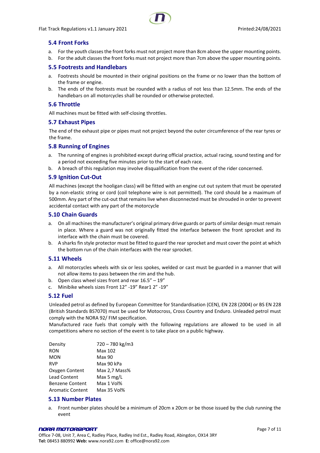#### <span id="page-6-0"></span>**5.4 Front Forks**

- a. For the youth classes the front forks must not project more than 8cm above the upper mounting points.
- b. For the adult classes the front forks must not project more than 7cm above the upper mounting points.

#### <span id="page-6-1"></span>**5.5 Footrests and Handlebars**

- a. Footrests should be mounted in their original positions on the frame or no lower than the bottom of the frame or engine.
- b. The ends of the footrests must be rounded with a radius of not less than 12.5mm. The ends of the handlebars on all motorcycles shall be rounded or otherwise protected.

#### <span id="page-6-2"></span>**5.6 Throttle**

All machines must be fitted with self-closing throttles.

#### <span id="page-6-3"></span>**5.7 Exhaust Pipes**

The end of the exhaust pipe or pipes must not project beyond the outer circumference of the rear tyres or the frame.

#### <span id="page-6-4"></span>**5.8 Running of Engines**

- a. The running of engines is prohibited except during official practice, actual racing, sound testing and for a period not exceeding five minutes prior to the start of each race.
- b. A breach of this regulation may involve disqualification from the event of the rider concerned.

#### <span id="page-6-5"></span>**5.9 Ignition Cut-Out**

All machines (except the hooligan class) will be fitted with an engine cut out system that must be operated by a non-elastic string or cord (coil telephone wire is not permitted). The cord should be a maximum of 500mm. Any part of the cut-out that remains live when disconnected must be shrouded in order to prevent accidental contact with any part of the motorcycle

#### <span id="page-6-6"></span>**5.10 Chain Guards**

- a. On all machines the manufacturer's original primary drive guards or parts of similar design must remain in place. Where a guard was not originally fitted the interface between the front sprocket and its interface with the chain must be covered.
- b. A sharks fin style protector must be fitted to guard the rear sprocket and must cover the point at which the bottom run of the chain interfaces with the rear sprocket.

#### <span id="page-6-7"></span>**5.11 Wheels**

- a. All motorcycles wheels with six or less spokes, welded or cast must be guarded in a manner that will not allow items to pass between the rim and the hub.
- b. Open class wheel sizes front and rear 16.5" 19"
- c. Minibike wheels sizes Front 12" -19" Rear1 2" -19"

#### <span id="page-6-8"></span>**5.12 Fuel**

Unleaded petrol as defined by European Committee for Standardisation (CEN), EN 228 (2004) or BS EN 228 (British Standards BS7070) must be used for Motocross, Cross Country and Enduro. Unleaded petrol must comply with the NORA 92/ FIM specification.

Manufactured race fuels that comply with the following regulations are allowed to be used in all competitions where no section of the event is to take place on a public highway.

| Max 102       |
|---------------|
|               |
| Max 90        |
| Max 90 kPa    |
| Max 2,7 Mass% |
| Max 5 $mg/L$  |
| Max 1 Vol%    |
| Max 35 Vol%   |
|               |

#### <span id="page-6-9"></span>**5.13 Number Plates**

a. Front number plates should be a minimum of 20cm x 20cm or be those issued by the club running the event

#### NORA MOTORSPORT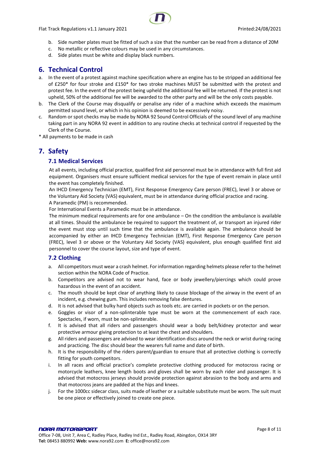Flat Track Regulations v1.1 January 2021 **Printed:24/08/2021** Printed:24/08/2021



- b. Side number plates must be fitted of such a size that the number can be read from a distance of 20M
- c. No metallic or reflective colours may be used in any circumstances.
- d. Side plates must be white and display black numbers.

# <span id="page-7-0"></span>**6. Technical Control**

- a. In the event of a protest against machine specification where an engine has to be stripped an additional fee of £250\* for four stroke and £150\* for two stroke machines MUST be submitted with the protest and protest fee. In the event of the protest being upheld the additional fee will be returned. If the protest is not upheld, 50% of the additional fee will be awarded to the other party and will be the only costs payable.
- b. The Clerk of the Course may disqualify or penalise any rider of a machine which exceeds the maximum permitted sound level, or which in his opinion is deemed to be excessively noisy.
- c. Random or spot checks may be made by NORA 92 Sound Control Officials of the sound level of any machine taking part in any NORA 92 event in addition to any routine checks at technical control if requested by the Clerk of the Course.
- <span id="page-7-1"></span>\* All payments to be made in cash

# <span id="page-7-2"></span>**7. Safety**

### **7.1 Medical Services**

At all events, including official practice, qualified first aid personnel must be in attendance with full first aid equipment. Organisers must ensure sufficient medical services for the type of event remain in place until the event has completely finished.

An IHCD Emergency Technician (EMT), First Response Emergency Care person (FREC), level 3 or above or the Voluntary Aid Society (VAS) equivalent, must be in attendance during official practice and racing. A Paramedic (PM) is recommended.

For International Events a Paramedic must be in attendance.

The minimum medical requirements are for one ambulance – On the condition the ambulance is available at all times. Should the ambulance be required to support the treatment of, or transport an injured rider the event must stop until such time that the ambulance is available again. The ambulance should be accompanied by either an IHCD Emergency Technician (EMT), First Response Emergency Care person (FREC), level 3 or above or the Voluntary Aid Society (VAS) equivalent, plus enough qualified first aid personnel to cover the course layout, size and type of event.

# <span id="page-7-3"></span>**7.2 Clothing**

- a. All competitors must wear a crash helmet. For information regarding helmets please refer to the helmet section within the NORA Code of Practice.
- b. Competitors are advised not to wear hand, face or body jewellery/piercings which could prove hazardous in the event of an accident.
- c. The mouth should be kept clear of anything likely to cause blockage of the airway in the event of an incident, e.g. chewing gum. This includes removing false dentures.
- d. It is not advised that bulky hard objects such as tools etc. are carried in pockets or on the person.
- e. Goggles or visor of a non-splinterable type must be worn at the commencement of each race. Spectacles, if worn, must be non-splinterable.
- f. It is advised that all riders and passengers should wear a body belt/kidney protector and wear protective armour giving protection to at least the chest and shoulders.
- g. All riders and passengers are advised to wear identification discs around the neck or wrist during racing and practicing. The disc should bear the wearers full name and date of birth.
- h. It is the responsibility of the riders parent/guardian to ensure that all protective clothing is correctly fitting for youth competitors.
- i. In all races and official practice's complete protective clothing produced for motocross racing or motorcycle leathers, knee length boots and gloves shall be worn by each rider and passenger. It is advised that motocross jerseys should provide protection against abrasion to the body and arms and that motocross jeans are padded at the hips and knees.
- j. For the 1000cc sidecar class, suits made of leather or a suitable substitute must be worn. The suit must be one piece or effectively joined to create one piece.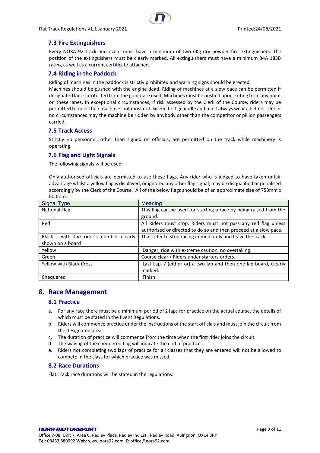### <span id="page-8-0"></span>**7.3 Fire Extinguishers**

Every NORA 92 track and event must have a minimum of two 6Kg dry powder fire extinguishers. The position of the extinguishers must be clearly marked. All extinguishers must have a minimum 34A 183B rating as well as a current certificate attached.

#### <span id="page-8-1"></span>**7.4 Riding in the Paddock**

Riding of machines in the paddock is strictly prohibited and warning signs should be erected.

Machines should be pushed with the engine dead. Riding of machines at a slow pace can be permitted if designated lanes protected from the public are used. Machines must be pushed upon exiting from any point on these lanes. In exceptional circumstances, if risk assessed by the Clerk of the Course, riders may be permitted to rider their machines but must not exceed first gear idle and must always wear a helmet. Under no circumstances may the machine be ridden by anybody other than the competitor or pillion passengers carried.

#### <span id="page-8-2"></span>**7.5 Track Access**

Strictly no personnel, other than signed on officials, are permitted on the track while machinery is operating.

#### <span id="page-8-3"></span>**7.6 Flag and Light Signals**

The following signals will be used:

Only authorised officials are permitted to use these flags. Any rider who is judged to have taken unfair advantage whilst a yellow flag is displayed, or ignored any other flag signal, may be disqualified or penalised accordingly by the Clerk of the Course. All of the below flags should be of an approximate size of 750mm x 600mm.

| <b>Signal Type</b>                      | <b>Meaning</b>                                                     |
|-----------------------------------------|--------------------------------------------------------------------|
| National Flag                           | This flag can be used for starting a race by being raised from the |
|                                         | ground.                                                            |
| Red                                     | All Riders must stop. Riders must not pass any red flag unless     |
|                                         | authorised or directed to do so and then proceed at a slow pace.   |
| Black - with the rider's number clearly | That rider to stop racing immediately and leave the track          |
| shown on a board                        |                                                                    |
| Yellow                                  | Danger, ride with extreme caution, no overtaking.                  |
| Green                                   | Course clear / Riders under starters orders.                       |
| <b>Yellow with Black Cross</b>          | Last Lap. / (either or) a two lap and then one lap board, clearly  |
|                                         | marked.                                                            |
| Chequered                               | Finish.                                                            |

# <span id="page-8-5"></span><span id="page-8-4"></span>**8. Race Management**

#### **8.1 Practice**

- a. For any race there must be a minimum period of 2 laps for practice on the actual course, the details of which must be stated in the Event Regulations.
- b. Riders will commence practice under the instructions of the start officials and must join the circuit from the designated area.
- c. The duration of practice will commence from the time when the first rider joins the circuit.
- d. The waving of the chequered flag will indicate the end of practice.
- e. Riders not completing two laps of practice for all classes that they are entered will not be allowed to compete in the class for which practice was missed.

#### <span id="page-8-6"></span>**8.2 Race Durations**

Flat Track race durations will be stated in the regulations.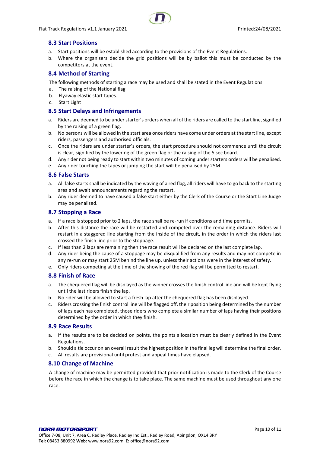#### <span id="page-9-0"></span>**8.3 Start Positions**

- a. Start positions will be established according to the provisions of the Event Regulations.
- b. Where the organisers decide the grid positions will be by ballot this must be conducted by the competitors at the event.

#### <span id="page-9-1"></span>**8.4 Method of Starting**

The following methods of starting a race may be used and shall be stated in the Event Regulations.

- a. The raising of the National flag
- b. Flyaway elastic start tapes.
- c. Start Light

#### <span id="page-9-2"></span>**8.5 Start Delays and Infringements**

- a. Riders are deemed to be under starter's orders when all of the riders are called to the start line, signified by the raising of a green flag.
- b. No persons will be allowed in the start area once riders have come under orders at the start line, except riders, passengers and authorised officials.
- c. Once the riders are under starter's orders, the start procedure should not commence until the circuit is clear, signified by the lowering of the green flag or the raising of the 5 sec board.
- d. Any rider not being ready to start within two minutes of coming under starters orders will be penalised.
- e. Any rider touching the tapes or jumping the start will be penalised by 25M

#### <span id="page-9-3"></span>**8.6 False Starts**

- a. All false starts shall be indicated by the waving of a red flag, all riders will have to go back to the starting area and await announcements regarding the restart.
- b. Any rider deemed to have caused a false start either by the Clerk of the Course or the Start Line Judge may be penalised.

#### <span id="page-9-4"></span>**8.7 Stopping a Race**

- a. If a race is stopped prior to 2 laps, the race shall be re-run if conditions and time permits.
- b. After this distance the race will be restarted and competed over the remaining distance. Riders will restart in a staggered line starting from the inside of the circuit, in the order in which the riders last crossed the finish line prior to the stoppage.
- c. If less than 2 laps are remaining then the race result will be declared on the last complete lap.
- d. Any rider being the cause of a stoppage may be disqualified from any results and may not compete in any re-run or may start 25M behind the line up, unless their actions were in the interest of safety.
- e. Only riders competing at the time of the showing of the red flag will be permitted to restart.

#### <span id="page-9-5"></span>**8.8 Finish of Race**

- a. The chequered flag will be displayed as the winner crosses the finish control line and will be kept flying until the last riders finish the lap.
- b. No rider will be allowed to start a fresh lap after the chequered flag has been displayed.
- c. Riders crossing the finish control line will be flagged off, their position being determined by the number of laps each has completed, those riders who complete a similar number of laps having their positions determined by the order in which they finish.

#### <span id="page-9-6"></span>**8.9 Race Results**

- a. If the results are to be decided on points, the points allocation must be clearly defined in the Event Regulations.
- b. Should a tie occur on an overall result the highest position in the final leg will determine the final order.
- c. All results are provisional until protest and appeal times have elapsed.

#### <span id="page-9-7"></span>**8.10 Change of Machine**

A change of machine may be permitted provided that prior notification is made to the Clerk of the Course before the race in which the change is to take place. The same machine must be used throughout any one race.